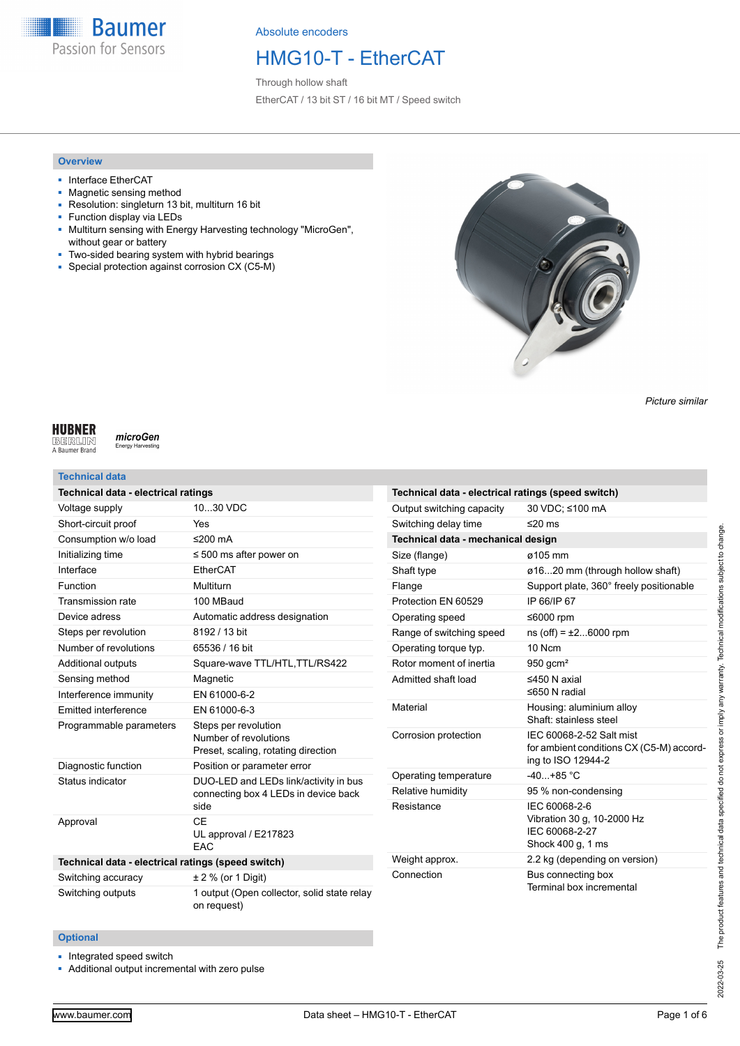

## HMG10-T - EtherCAT

Through hollow shaft EtherCAT / 13 bit ST / 16 bit MT / Speed switch

### **Overview**

- Interface EtherCAT
- Magnetic sensing method
- Resolution: singleturn 13 bit, multiturn 16 bit
- Function display via LEDs
- Multiturn sensing with Energy Harvesting technology "MicroGen", without gear or battery
- Two-sided bearing system with hybrid bearings
- Special protection against corrosion CX (C5-M)



*Picture similar*

### **HUBNER**

**BERLIN**<br>A Baumer Brand

### **Technical data**

microGen

.<br>Inergy Ha

| Technical data - electrical ratings                |                                                                                       |
|----------------------------------------------------|---------------------------------------------------------------------------------------|
| Voltage supply                                     | 1030 VDC                                                                              |
| Short-circuit proof                                | Yes                                                                                   |
| Consumption w/o load                               | ≤200 $mA$                                                                             |
| Initializing time                                  | $\leq$ 500 ms after power on                                                          |
| Interface                                          | EtherCAT                                                                              |
| Function                                           | Multiturn                                                                             |
| <b>Transmission rate</b>                           | 100 MBaud                                                                             |
| Device adress                                      | Automatic address designation                                                         |
| Steps per revolution                               | 8192 / 13 bit                                                                         |
| Number of revolutions                              | 65536 / 16 bit                                                                        |
| <b>Additional outputs</b>                          | Square-wave TTL/HTL, TTL/RS422                                                        |
| Sensing method                                     | Magnetic                                                                              |
| Interference immunity                              | EN 61000-6-2                                                                          |
| <b>Emitted interference</b>                        | EN 61000-6-3                                                                          |
| Programmable parameters                            | Steps per revolution<br>Number of revolutions<br>Preset, scaling, rotating direction  |
| Diagnostic function                                | Position or parameter error                                                           |
| Status indicator                                   | DUO-LED and LEDs link/activity in bus<br>connecting box 4 LEDs in device back<br>side |
| Approval                                           | CF<br>UL approval / E217823<br>FAC                                                    |
| Technical data - electrical ratings (speed switch) |                                                                                       |
| Switching accuracy                                 | $± 2 %$ (or 1 Digit)                                                                  |
| Switching outputs                                  | 1 output (Open collector, solid state relay<br>on request)                            |

| Technical data - electrical ratings (speed switch) |                                                                                            |  |  |  |  |
|----------------------------------------------------|--------------------------------------------------------------------------------------------|--|--|--|--|
| Output switching capacity                          | 30 VDC; ≤100 mA                                                                            |  |  |  |  |
| Switching delay time                               | ≤20 ms                                                                                     |  |  |  |  |
| Technical data - mechanical design                 |                                                                                            |  |  |  |  |
| Size (flange)                                      | ø105 mm                                                                                    |  |  |  |  |
| Shaft type                                         | ø1620 mm (through hollow shaft)                                                            |  |  |  |  |
| Flange                                             | Support plate, 360° freely positionable                                                    |  |  |  |  |
| Protection EN 60529                                | IP 66/IP 67                                                                                |  |  |  |  |
| Operating speed                                    | ≤6000 rpm                                                                                  |  |  |  |  |
| Range of switching speed                           | $ns(off) = ±26000$ rpm                                                                     |  |  |  |  |
| Operating torque typ.                              | 10 Ncm                                                                                     |  |  |  |  |
| Rotor moment of inertia                            | $950$ gcm <sup>2</sup>                                                                     |  |  |  |  |
| Admitted shaft load                                | ≤450 N axial<br>≤650 N radial                                                              |  |  |  |  |
| Material                                           | Housing: aluminium alloy<br>Shaft: stainless steel                                         |  |  |  |  |
| Corrosion protection                               | IEC 60068-2-52 Salt mist<br>for ambient conditions CX (C5-M) accord-<br>ing to ISO 12944-2 |  |  |  |  |
| Operating temperature                              | $-40+85 °C$                                                                                |  |  |  |  |
| Relative humidity                                  | 95 % non-condensing                                                                        |  |  |  |  |
| Resistance                                         | IEC 60068-2-6<br>Vibration 30 g, 10-2000 Hz<br>IEC 60068-2-27<br>Shock 400 g, 1 ms         |  |  |  |  |
| Weight approx.                                     | 2.2 kg (depending on version)                                                              |  |  |  |  |
| Connection                                         | Bus connecting box<br>Terminal box incremental                                             |  |  |  |  |

#### **Optional**

■ Integrated speed switch

■ Additional output incremental with zero pulse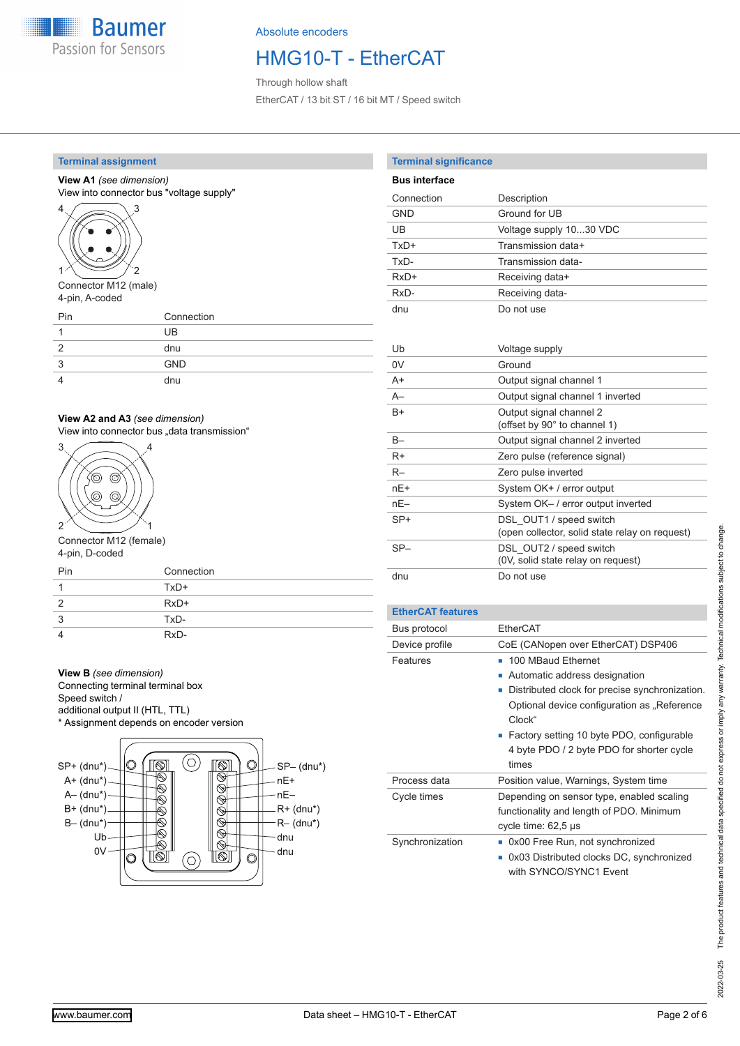

### HMG10-T - EtherCAT

Through hollow shaft EtherCAT / 13 bit ST / 16 bit MT / Speed switch

### **Terminal assignment**

### **View A1** *(see dimension)*

View into connector bus "voltage supply"



Connector M12 (male) 4-pin, A-coded

| Pin | Connection |
|-----|------------|
|     | UB         |
|     | dnu        |
| 3   | <b>GND</b> |
|     | dnu        |

### **View A2 and A3** *(see dimension)*

View into connector bus "data transmission"



Connector M12 (female) 4-pin, D-coded

| Pin | Connection |
|-----|------------|
|     | $TxD+$     |
|     | $RxD+$     |
| 3   | TxD-       |
|     | $RxD-$     |

### **View B** *(see dimension)*

Connecting terminal terminal box Speed switch /

additional output II (HTL, TTL)

\* Assignment depends on encoder version



| <b>Terminal significance</b> |                                                |
|------------------------------|------------------------------------------------|
| <b>Bus interface</b>         |                                                |
| Connection                   | Description                                    |
| GND                          | Ground for UB                                  |
| UB                           | Voltage supply 1030 VDC                        |
| TxD+                         | Transmission data+                             |
| TxD-                         | Transmission data-                             |
| $RxD+$                       | Receiving data+                                |
| $RxD-$                       | Receiving data-                                |
| dnu                          | Do not use                                     |
|                              |                                                |
| Uh                           | Voltage supply                                 |
| 0V                           | Ground                                         |
| A+                           | Output signal channel 1                        |
| $A-$                         | Output signal channel 1 inverted               |
| $B+$                         | Output signal channel 2                        |
|                              | (offset by 90° to channel 1)                   |
| $B -$                        | Output signal channel 2 inverted               |
| R+                           | Zero pulse (reference signal)                  |
| $R-$                         | Zero pulse inverted                            |
| nF+                          | System OK+ / error output                      |
| nF-                          | System OK- / error output inverted             |
| $SP+$                        | DSL OUT1 / speed switch                        |
|                              | (open collector, solid state relay on request) |
| $SP-$                        | DSL OUT2 / speed switch                        |
|                              | (0V, solid state relay on request)             |
| dnu                          | Do not use                                     |
|                              |                                                |

### **EtherCAT features**

| Bus protocol    | EtherCAT                                                                                                                                                                                                                                                                      |
|-----------------|-------------------------------------------------------------------------------------------------------------------------------------------------------------------------------------------------------------------------------------------------------------------------------|
| Device profile  | CoE (CANopen over EtherCAT) DSP406                                                                                                                                                                                                                                            |
| Features        | 100 MBaud Ethernet<br>Automatic address designation<br>ш<br>Distributed clock for precise synchronization.<br>п<br>Optional device configuration as "Reference<br>Clock"<br>■ Factory setting 10 byte PDO, configurable<br>4 byte PDO / 2 byte PDO for shorter cycle<br>times |
| Process data    | Position value, Warnings, System time                                                                                                                                                                                                                                         |
| Cycle times     | Depending on sensor type, enabled scaling<br>functionality and length of PDO. Minimum<br>cycle time: $62.5 \text{ }\mu\text{s}$                                                                                                                                               |
| Synchronization | 0x00 Free Run, not synchronized<br>0x03 Distributed clocks DC, synchronized<br>with SYNCO/SYNC1 Event                                                                                                                                                                         |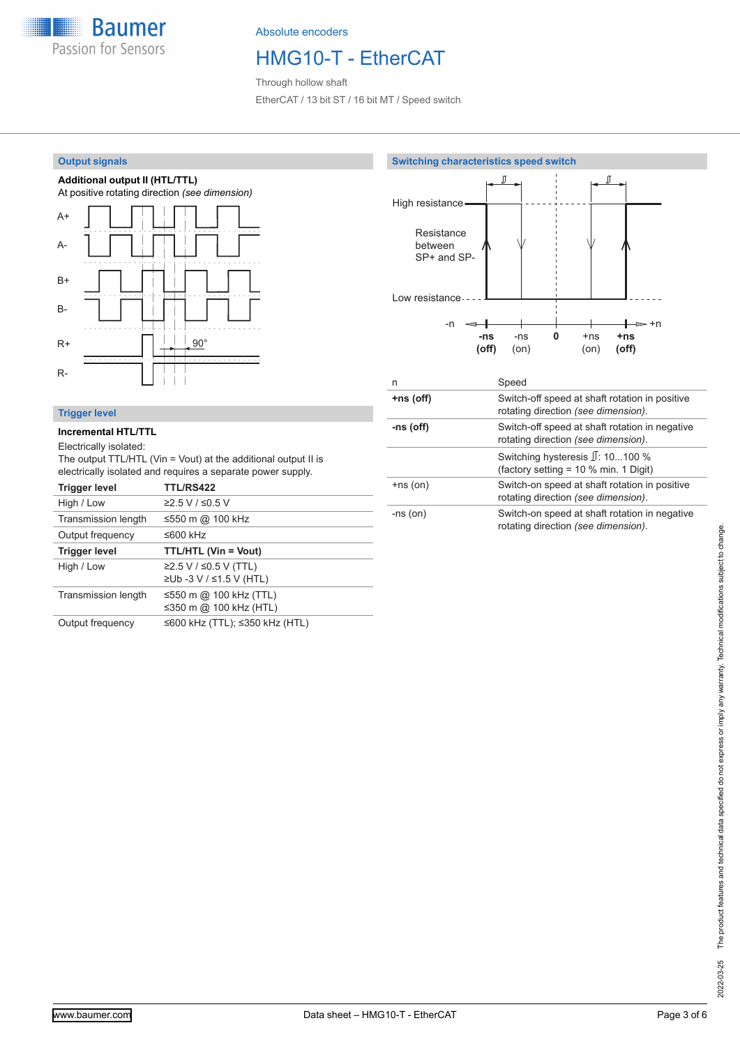

## HMG10-T - EtherCAT

Through hollow shaft EtherCAT / 13 bit ST / 16 bit MT / Speed switch

### **Output signals**







### **Trigger level**

#### **Incremental HTL/TTL**

#### Electrically isolated:

The output TTL/HTL (Vin = Vout) at the additional output II is electrically isolated and requires a separate power supply.

| <b>Trigger level</b> | <b>TTL/RS422</b>                                 |
|----------------------|--------------------------------------------------|
| High / Low           | ≥2.5 V / ≤0.5 V                                  |
| Transmission length  | ≤550 m @ 100 kHz                                 |
| Output frequency     | ≤600 kHz                                         |
| <b>Trigger level</b> | <b>TTL/HTL (Vin = Vout)</b>                      |
| High / Low           | ≥2.5 V / ≤0.5 V (TTL)<br>≥Ub -3 V / ≤1.5 V (HTL) |
| Transmission length  | ≤550 m @ 100 kHz (TTL)<br>≤350 m @ 100 kHz (HTL) |
| Output frequency     | ≤600 kHz (TTL); ≤350 kHz (HTL)                   |

| n             | Speed                                                                                 |
|---------------|---------------------------------------------------------------------------------------|
| +ns (off)     | Switch-off speed at shaft rotation in positive<br>rotating direction (see dimension). |
| -ns (off)     | Switch-off speed at shaft rotation in negative<br>rotating direction (see dimension). |
|               | Switching hysteresis $\mathbb{J}$ : 10100 %<br>(factory setting = 10 % min. 1 Digit)  |
| $+ns($ on $)$ | Switch-on speed at shaft rotation in positive<br>rotating direction (see dimension).  |
| $-ns($ on $)$ | Switch-on speed at shaft rotation in negative<br>rotating direction (see dimension).  |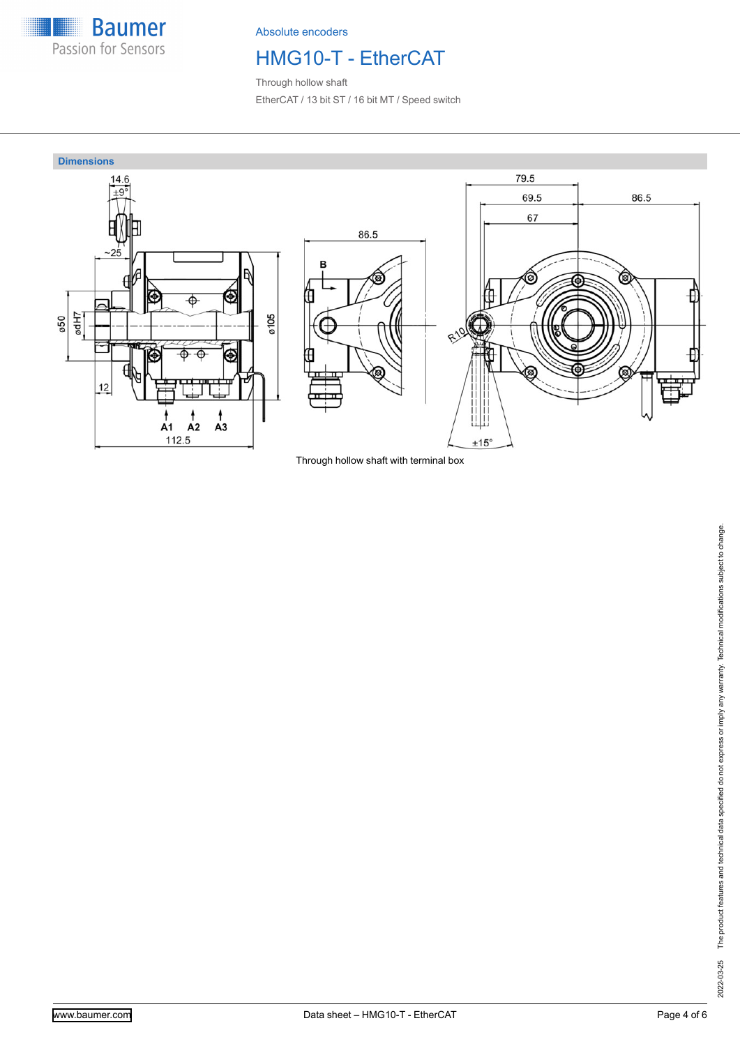

# HMG10-T - EtherCAT

Through hollow shaft EtherCAT / 13 bit ST / 16 bit MT / Speed switch



Through hollow shaft with terminal box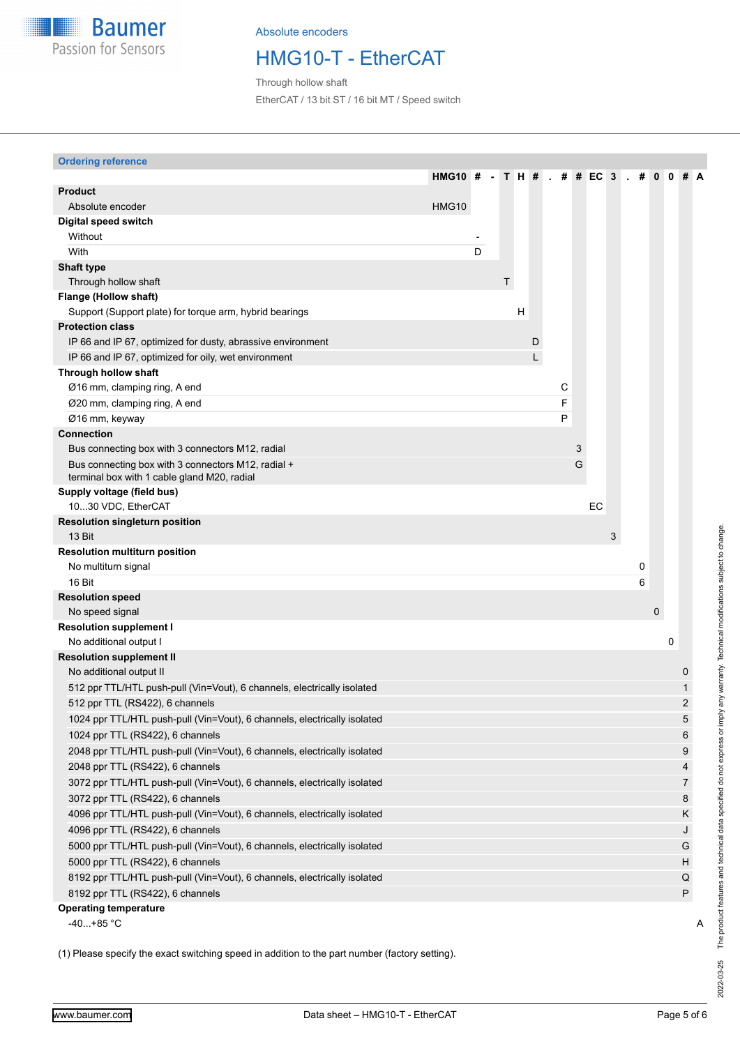

### HMG10-T - EtherCAT

Through hollow shaft EtherCAT / 13 bit ST / 16 bit MT / Speed switch

### **Ordering reference**

|                                                                                                   | <b>HMG10 #</b> |   |   | T H # |   | # |   | # EC | $\mathbf{3}$ | # | $\bf{0}$    |   |                |   |
|---------------------------------------------------------------------------------------------------|----------------|---|---|-------|---|---|---|------|--------------|---|-------------|---|----------------|---|
| <b>Product</b>                                                                                    |                |   |   |       |   |   |   |      |              |   |             |   |                |   |
| Absolute encoder                                                                                  | HMG10          |   |   |       |   |   |   |      |              |   |             |   |                |   |
| Digital speed switch                                                                              |                |   |   |       |   |   |   |      |              |   |             |   |                |   |
| Without                                                                                           |                |   |   |       |   |   |   |      |              |   |             |   |                |   |
| With                                                                                              |                | D |   |       |   |   |   |      |              |   |             |   |                |   |
| <b>Shaft type</b>                                                                                 |                |   |   |       |   |   |   |      |              |   |             |   |                |   |
| Through hollow shaft                                                                              |                |   | T |       |   |   |   |      |              |   |             |   |                |   |
| Flange (Hollow shaft)                                                                             |                |   |   |       |   |   |   |      |              |   |             |   |                |   |
| Support (Support plate) for torque arm, hybrid bearings                                           |                |   |   | H     |   |   |   |      |              |   |             |   |                |   |
| <b>Protection class</b>                                                                           |                |   |   |       |   |   |   |      |              |   |             |   |                |   |
| IP 66 and IP 67, optimized for dusty, abrassive environment                                       |                |   |   |       | D |   |   |      |              |   |             |   |                |   |
| IP 66 and IP 67, optimized for oily, wet environment                                              |                |   |   |       | L |   |   |      |              |   |             |   |                |   |
| Through hollow shaft                                                                              |                |   |   |       |   |   |   |      |              |   |             |   |                |   |
| Ø16 mm, clamping ring, A end                                                                      |                |   |   |       |   | С |   |      |              |   |             |   |                |   |
| Ø20 mm, clamping ring, A end                                                                      |                |   |   |       |   | F |   |      |              |   |             |   |                |   |
| Ø16 mm, keyway                                                                                    |                |   |   |       |   | P |   |      |              |   |             |   |                |   |
| <b>Connection</b>                                                                                 |                |   |   |       |   |   |   |      |              |   |             |   |                |   |
| Bus connecting box with 3 connectors M12, radial                                                  |                |   |   |       |   |   | 3 |      |              |   |             |   |                |   |
| Bus connecting box with 3 connectors M12, radial +<br>terminal box with 1 cable gland M20, radial |                |   |   |       |   |   | G |      |              |   |             |   |                |   |
| Supply voltage (field bus)                                                                        |                |   |   |       |   |   |   |      |              |   |             |   |                |   |
| 1030 VDC, EtherCAT                                                                                |                |   |   |       |   |   |   | EC   |              |   |             |   |                |   |
| <b>Resolution singleturn position</b><br>13 Bit                                                   |                |   |   |       |   |   |   |      | 3            |   |             |   |                |   |
| <b>Resolution multiturn position</b>                                                              |                |   |   |       |   |   |   |      |              |   |             |   |                |   |
| No multiturn signal                                                                               |                |   |   |       |   |   |   |      |              | 0 |             |   |                |   |
| 16 Bit                                                                                            |                |   |   |       |   |   |   |      |              | 6 |             |   |                |   |
| <b>Resolution speed</b>                                                                           |                |   |   |       |   |   |   |      |              |   |             |   |                |   |
| No speed signal                                                                                   |                |   |   |       |   |   |   |      |              |   | $\mathbf 0$ |   |                |   |
| <b>Resolution supplement I</b>                                                                    |                |   |   |       |   |   |   |      |              |   |             |   |                |   |
| No additional output I                                                                            |                |   |   |       |   |   |   |      |              |   |             | 0 |                |   |
| <b>Resolution supplement II</b>                                                                   |                |   |   |       |   |   |   |      |              |   |             |   |                |   |
| No additional output II                                                                           |                |   |   |       |   |   |   |      |              |   |             |   | 0              |   |
| 512 ppr TTL/HTL push-pull (Vin=Vout), 6 channels, electrically isolated                           |                |   |   |       |   |   |   |      |              |   |             |   |                |   |
| 512 ppr TTL (RS422), 6 channels                                                                   |                |   |   |       |   |   |   |      |              |   |             |   |                |   |
| 1024 ppr TTL/HTL push-pull (Vin=Vout), 6 channels, electrically isolated                          |                |   |   |       |   |   |   |      |              |   |             |   |                |   |
| 1024 ppr TTL (RS422), 6 channels                                                                  |                |   |   |       |   |   |   |      |              |   |             |   | 6              |   |
| 2048 ppr TTL/HTL push-pull (Vin=Vout), 6 channels, electrically isolated                          |                |   |   |       |   |   |   |      |              |   |             |   | 9              |   |
| 2048 ppr TTL (RS422), 6 channels                                                                  |                |   |   |       |   |   |   |      |              |   |             |   | 4              |   |
| 3072 ppr TTL/HTL push-pull (Vin=Vout), 6 channels, electrically isolated                          |                |   |   |       |   |   |   |      |              |   |             |   | $\overline{7}$ |   |
| 3072 ppr TTL (RS422), 6 channels                                                                  |                |   |   |       |   |   |   |      |              |   |             |   | $\bf 8$        |   |
| 4096 ppr TTL/HTL push-pull (Vin=Vout), 6 channels, electrically isolated                          |                |   |   |       |   |   |   |      |              |   |             |   | Κ              |   |
| 4096 ppr TTL (RS422), 6 channels                                                                  |                |   |   |       |   |   |   |      |              |   |             |   | J              |   |
| 5000 ppr TTL/HTL push-pull (Vin=Vout), 6 channels, electrically isolated                          |                |   |   |       |   |   |   |      |              |   |             |   | G              |   |
| 5000 ppr TTL (RS422), 6 channels                                                                  |                |   |   |       |   |   |   |      |              |   |             |   | Н              |   |
| 8192 ppr TTL/HTL push-pull (Vin=Vout), 6 channels, electrically isolated                          |                |   |   |       |   |   |   |      |              |   |             |   | Q              |   |
| 8192 ppr TTL (RS422), 6 channels                                                                  |                |   |   |       |   |   |   |      |              |   |             |   | P              |   |
| <b>Operating temperature</b>                                                                      |                |   |   |       |   |   |   |      |              |   |             |   |                |   |
| $-40+85$ °C                                                                                       |                |   |   |       |   |   |   |      |              |   |             |   |                | A |
|                                                                                                   |                |   |   |       |   |   |   |      |              |   |             |   |                |   |

(1) Please specify the exact switching speed in addition to the part number (factory setting).